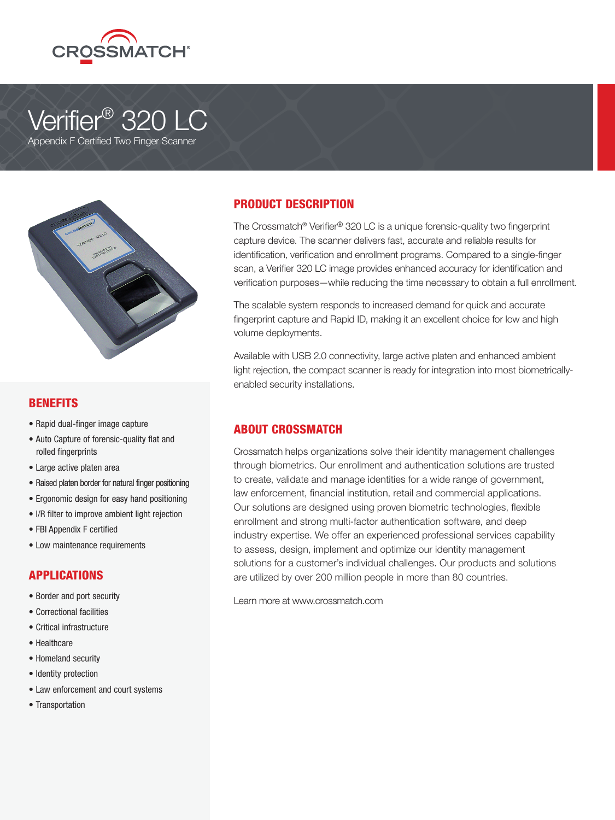

# Verifier<sup>®</sup> 320 LC

Appendix F Certified Two Finger Scanner



### BENEFITS

- Rapid dual-finger image capture
- Auto Capture of forensic-quality flat and rolled fingerprints
- Large active platen area
- Raised platen border for natural finger positioning
- Ergonomic design for easy hand positioning
- I/R filter to improve ambient light rejection
- FBI Appendix F certified
- Low maintenance requirements

#### APPLICATIONS

- Border and port security
- Correctional facilities
- Critical infrastructure
- Healthcare
- Homeland security
- Identity protection
- Law enforcement and court systems
- Transportation

### PRODUCT DESCRIPTION

The Crossmatch® Verifier® 320 LC is a unique forensic-quality two fingerprint capture device. The scanner delivers fast, accurate and reliable results for identification, verification and enrollment programs. Compared to a single-finger scan, a Verifier 320 LC image provides enhanced accuracy for identification and verification purposes—while reducing the time necessary to obtain a full enrollment.

The scalable system responds to increased demand for quick and accurate fingerprint capture and Rapid ID, making it an excellent choice for low and high volume deployments.

Available with USB 2.0 connectivity, large active platen and enhanced ambient light rejection, the compact scanner is ready for integration into most biometricallyenabled security installations.

### ABOUT CROSSMATCH

Crossmatch helps organizations solve their identity management challenges through biometrics. Our enrollment and authentication solutions are trusted to create, validate and manage identities for a wide range of government, law enforcement, financial institution, retail and commercial applications. Our solutions are designed using proven biometric technologies, flexible enrollment and strong multi-factor authentication software, and deep industry expertise. We offer an experienced professional services capability to assess, design, implement and optimize our identity management solutions for a customer's individual challenges. Our products and solutions are utilized by over 200 million people in more than 80 countries.

Learn more at www.crossmatch.com